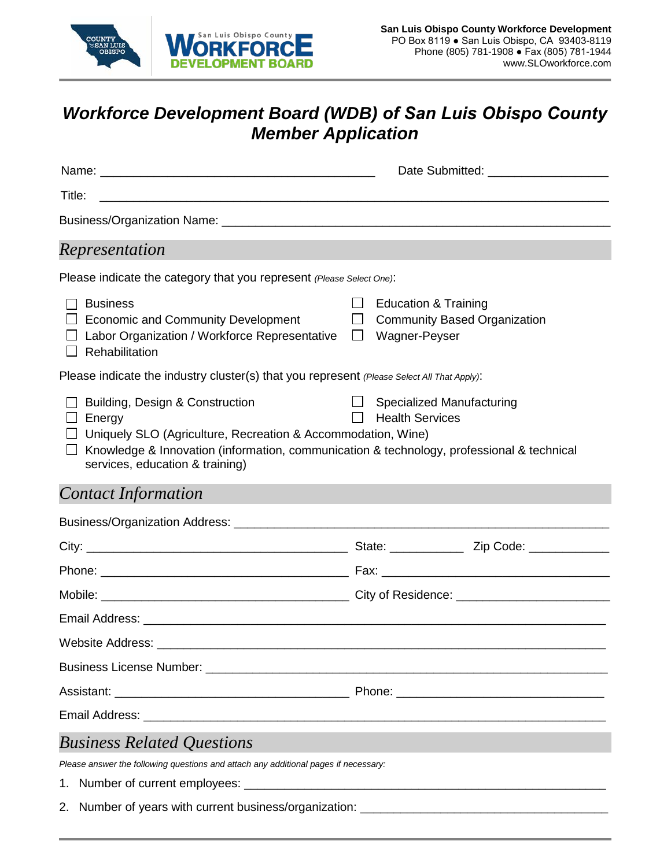

## *Workforce Development Board (WDB) of San Luis Obispo County Member Application*

|                                                                                                                                                                                                                                                         | Date Submitted: ______________________                                                                   |  |  |
|---------------------------------------------------------------------------------------------------------------------------------------------------------------------------------------------------------------------------------------------------------|----------------------------------------------------------------------------------------------------------|--|--|
| Title:                                                                                                                                                                                                                                                  |                                                                                                          |  |  |
|                                                                                                                                                                                                                                                         |                                                                                                          |  |  |
| Representation                                                                                                                                                                                                                                          |                                                                                                          |  |  |
| Please indicate the category that you represent (Please Select One):                                                                                                                                                                                    |                                                                                                          |  |  |
| <b>Business</b><br>$\perp$<br>□ Economic and Community Development<br>Labor Organization / Workforce Representative<br>Rehabilitation                                                                                                                   | $\Box$<br><b>Education &amp; Training</b><br>$\Box$ Community Based Organization<br>$\Box$ Wagner-Peyser |  |  |
| Please indicate the industry cluster(s) that you represent (Please Select All That Apply):                                                                                                                                                              |                                                                                                          |  |  |
| Building, Design & Construction<br>$\Box$ Energy<br>$\Box$ Uniquely SLO (Agriculture, Recreation & Accommodation, Wine)<br>Knowledge & Innovation (information, communication & technology, professional & technical<br>services, education & training) | <b>Specialized Manufacturing</b><br>$\Box$<br><b>Health Services</b><br>$\perp$                          |  |  |
| <b>Contact Information</b>                                                                                                                                                                                                                              |                                                                                                          |  |  |
|                                                                                                                                                                                                                                                         |                                                                                                          |  |  |
|                                                                                                                                                                                                                                                         |                                                                                                          |  |  |
|                                                                                                                                                                                                                                                         |                                                                                                          |  |  |
|                                                                                                                                                                                                                                                         |                                                                                                          |  |  |
|                                                                                                                                                                                                                                                         |                                                                                                          |  |  |
| <b>Website Address:</b>                                                                                                                                                                                                                                 |                                                                                                          |  |  |
|                                                                                                                                                                                                                                                         |                                                                                                          |  |  |
|                                                                                                                                                                                                                                                         |                                                                                                          |  |  |
|                                                                                                                                                                                                                                                         |                                                                                                          |  |  |
| <b>Business Related Questions</b>                                                                                                                                                                                                                       |                                                                                                          |  |  |
| Please answer the following questions and attach any additional pages if necessary:                                                                                                                                                                     |                                                                                                          |  |  |
|                                                                                                                                                                                                                                                         |                                                                                                          |  |  |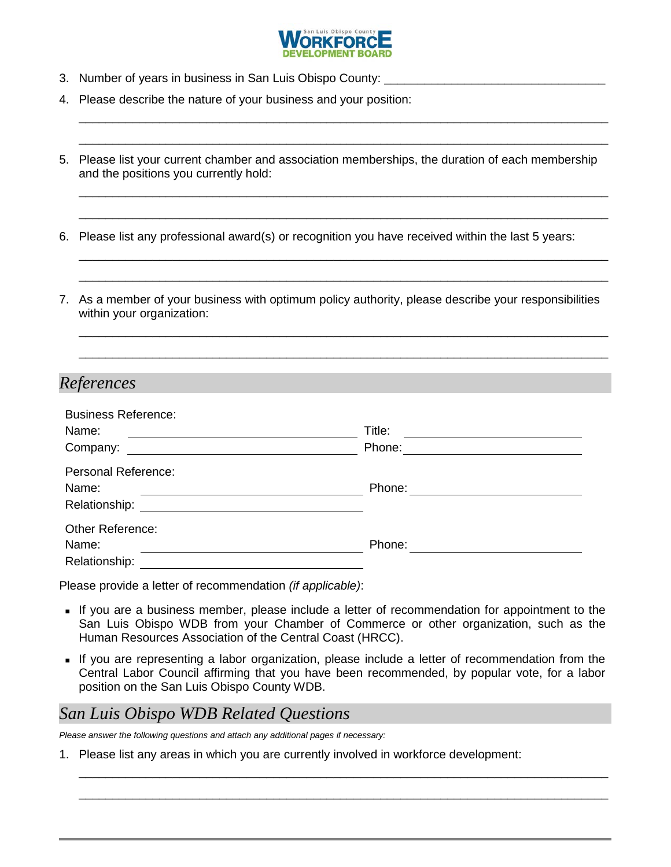

\_\_\_\_\_\_\_\_\_\_\_\_\_\_\_\_\_\_\_\_\_\_\_\_\_\_\_\_\_\_\_\_\_\_\_\_\_\_\_\_\_\_\_\_\_\_\_\_\_\_\_\_\_\_\_\_\_\_\_\_\_\_\_\_\_\_\_\_\_\_\_\_\_\_\_\_\_\_\_ \_\_\_\_\_\_\_\_\_\_\_\_\_\_\_\_\_\_\_\_\_\_\_\_\_\_\_\_\_\_\_\_\_\_\_\_\_\_\_\_\_\_\_\_\_\_\_\_\_\_\_\_\_\_\_\_\_\_\_\_\_\_\_\_\_\_\_\_\_\_\_\_\_\_\_\_\_\_\_

\_\_\_\_\_\_\_\_\_\_\_\_\_\_\_\_\_\_\_\_\_\_\_\_\_\_\_\_\_\_\_\_\_\_\_\_\_\_\_\_\_\_\_\_\_\_\_\_\_\_\_\_\_\_\_\_\_\_\_\_\_\_\_\_\_\_\_\_\_\_\_\_\_\_\_\_\_\_\_ \_\_\_\_\_\_\_\_\_\_\_\_\_\_\_\_\_\_\_\_\_\_\_\_\_\_\_\_\_\_\_\_\_\_\_\_\_\_\_\_\_\_\_\_\_\_\_\_\_\_\_\_\_\_\_\_\_\_\_\_\_\_\_\_\_\_\_\_\_\_\_\_\_\_\_\_\_\_\_

\_\_\_\_\_\_\_\_\_\_\_\_\_\_\_\_\_\_\_\_\_\_\_\_\_\_\_\_\_\_\_\_\_\_\_\_\_\_\_\_\_\_\_\_\_\_\_\_\_\_\_\_\_\_\_\_\_\_\_\_\_\_\_\_\_\_\_\_\_\_\_\_\_\_\_\_\_\_\_ \_\_\_\_\_\_\_\_\_\_\_\_\_\_\_\_\_\_\_\_\_\_\_\_\_\_\_\_\_\_\_\_\_\_\_\_\_\_\_\_\_\_\_\_\_\_\_\_\_\_\_\_\_\_\_\_\_\_\_\_\_\_\_\_\_\_\_\_\_\_\_\_\_\_\_\_\_\_\_

\_\_\_\_\_\_\_\_\_\_\_\_\_\_\_\_\_\_\_\_\_\_\_\_\_\_\_\_\_\_\_\_\_\_\_\_\_\_\_\_\_\_\_\_\_\_\_\_\_\_\_\_\_\_\_\_\_\_\_\_\_\_\_\_\_\_\_\_\_\_\_\_\_\_\_\_\_\_\_ \_\_\_\_\_\_\_\_\_\_\_\_\_\_\_\_\_\_\_\_\_\_\_\_\_\_\_\_\_\_\_\_\_\_\_\_\_\_\_\_\_\_\_\_\_\_\_\_\_\_\_\_\_\_\_\_\_\_\_\_\_\_\_\_\_\_\_\_\_\_\_\_\_\_\_\_\_\_\_

- 3. Number of years in business in San Luis Obispo County:
- 4. Please describe the nature of your business and your position:
- 5. Please list your current chamber and association memberships, the duration of each membership and the positions you currently hold:
- 6. Please list any professional award(s) or recognition you have received within the last 5 years:
- 7. As a member of your business with optimum policy authority, please describe your responsibilities within your organization:

## *References*

| <b>Business Reference:</b>                                                                                                         |        |  |
|------------------------------------------------------------------------------------------------------------------------------------|--------|--|
| Name:                                                                                                                              | Title: |  |
| Company:<br><u> 1989 - Johann Stein, fransk kampens og det forskellige og det forskellige og det forskellige og det forskellig</u> | Phone: |  |
| <b>Personal Reference:</b>                                                                                                         |        |  |
| Name:                                                                                                                              | Phone: |  |
| Relationship:                                                                                                                      |        |  |
| Other Reference:                                                                                                                   |        |  |
| Name:                                                                                                                              | Phone: |  |
| Relationship:                                                                                                                      |        |  |

Please provide a letter of recommendation *(if applicable)*:

- If you are a business member, please include a letter of recommendation for appointment to the San Luis Obispo WDB from your Chamber of Commerce or other organization, such as the Human Resources Association of the Central Coast (HRCC).
- If you are representing a labor organization, please include a letter of recommendation from the Central Labor Council affirming that you have been recommended, by popular vote, for a labor position on the San Luis Obispo County WDB.

\_\_\_\_\_\_\_\_\_\_\_\_\_\_\_\_\_\_\_\_\_\_\_\_\_\_\_\_\_\_\_\_\_\_\_\_\_\_\_\_\_\_\_\_\_\_\_\_\_\_\_\_\_\_\_\_\_\_\_\_\_\_\_\_\_\_\_\_\_\_\_\_\_\_\_\_\_\_\_ \_\_\_\_\_\_\_\_\_\_\_\_\_\_\_\_\_\_\_\_\_\_\_\_\_\_\_\_\_\_\_\_\_\_\_\_\_\_\_\_\_\_\_\_\_\_\_\_\_\_\_\_\_\_\_\_\_\_\_\_\_\_\_\_\_\_\_\_\_\_\_\_\_\_\_\_\_\_\_

## *San Luis Obispo WDB Related Questions*

*Please answer the following questions and attach any additional pages if necessary:*

1. Please list any areas in which you are currently involved in workforce development: